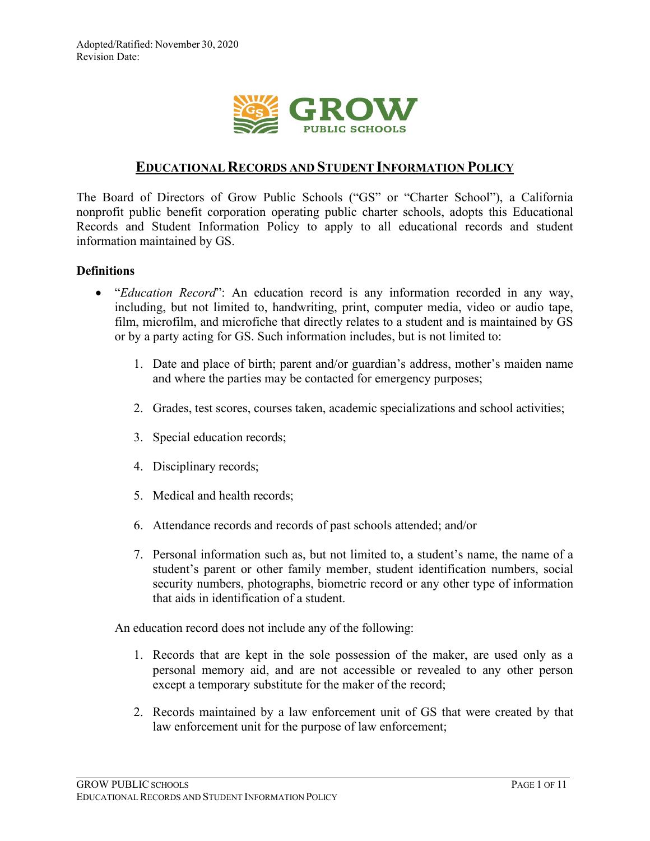

# **EDUCATIONAL RECORDS AND STUDENT INFORMATION POLICY**

The Board of Directors of Grow Public Schools ("GS" or "Charter School"), a California nonprofit public benefit corporation operating public charter schools, adopts this Educational Records and Student Information Policy to apply to all educational records and student information maintained by GS.

### **Definitions**

- "*Education Record*": An education record is any information recorded in any way, including, but not limited to, handwriting, print, computer media, video or audio tape, film, microfilm, and microfiche that directly relates to a student and is maintained by GS or by a party acting for GS. Such information includes, but is not limited to:
	- 1. Date and place of birth; parent and/or guardian's address, mother's maiden name and where the parties may be contacted for emergency purposes;
	- 2. Grades, test scores, courses taken, academic specializations and school activities;
	- 3. Special education records;
	- 4. Disciplinary records;
	- 5. Medical and health records;
	- 6. Attendance records and records of past schools attended; and/or
	- 7. Personal information such as, but not limited to, a student's name, the name of a student's parent or other family member, student identification numbers, social security numbers, photographs, biometric record or any other type of information that aids in identification of a student.

An education record does not include any of the following:

- 1. Records that are kept in the sole possession of the maker, are used only as a personal memory aid, and are not accessible or revealed to any other person except a temporary substitute for the maker of the record;
- 2. Records maintained by a law enforcement unit of GS that were created by that law enforcement unit for the purpose of law enforcement;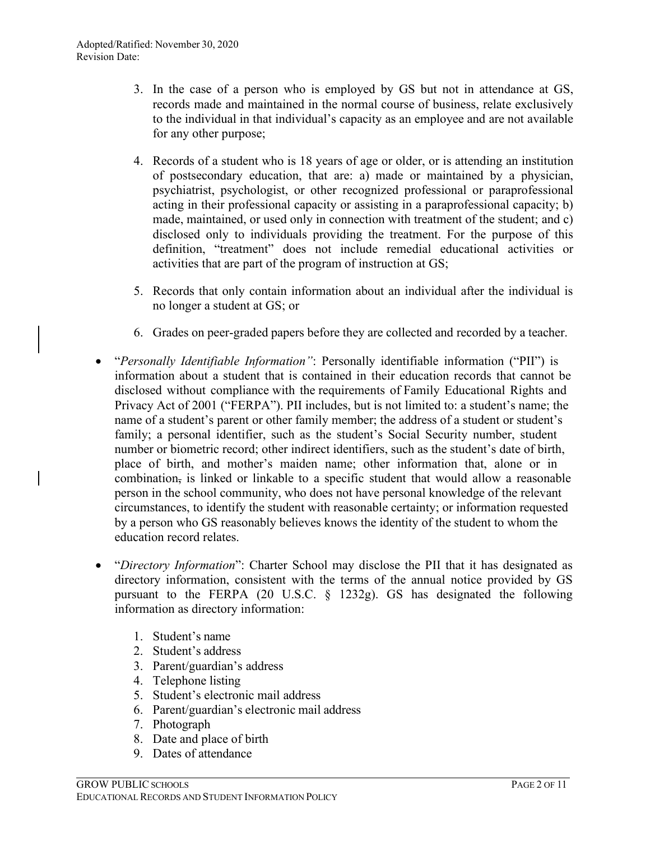- 3. In the case of a person who is employed by GS but not in attendance at GS, records made and maintained in the normal course of business, relate exclusively to the individual in that individual's capacity as an employee and are not available for any other purpose;
- 4. Records of a student who is 18 years of age or older, or is attending an institution of postsecondary education, that are: a) made or maintained by a physician, psychiatrist, psychologist, or other recognized professional or paraprofessional acting in their professional capacity or assisting in a paraprofessional capacity; b) made, maintained, or used only in connection with treatment of the student; and c) disclosed only to individuals providing the treatment. For the purpose of this definition, "treatment" does not include remedial educational activities or activities that are part of the program of instruction at GS;
- 5. Records that only contain information about an individual after the individual is no longer a student at GS; or
- 6. Grades on peer-graded papers before they are collected and recorded by a teacher.
- "*Personally Identifiable Information"*: Personally identifiable information ("PII") is information about a student that is contained in their education records that cannot be disclosed without compliance with the requirements of Family Educational Rights and Privacy Act of 2001 ("FERPA"). PII includes, but is not limited to: a student's name; the name of a student's parent or other family member; the address of a student or student's family; a personal identifier, such as the student's Social Security number, student number or biometric record; other indirect identifiers, such as the student's date of birth, place of birth, and mother's maiden name; other information that, alone or in combination, is linked or linkable to a specific student that would allow a reasonable person in the school community, who does not have personal knowledge of the relevant circumstances, to identify the student with reasonable certainty; or information requested by a person who GS reasonably believes knows the identity of the student to whom the education record relates.
- "*Directory Information*": Charter School may disclose the PII that it has designated as directory information, consistent with the terms of the annual notice provided by GS pursuant to the FERPA (20 U.S.C. § 1232g). GS has designated the following information as directory information:
	- 1. Student's name
	- 2. Student's address
	- 3. Parent/guardian's address
	- 4. Telephone listing
	- 5. Student's electronic mail address
	- 6. Parent/guardian's electronic mail address
	- 7. Photograph
	- 8. Date and place of birth
	- 9. Dates of attendance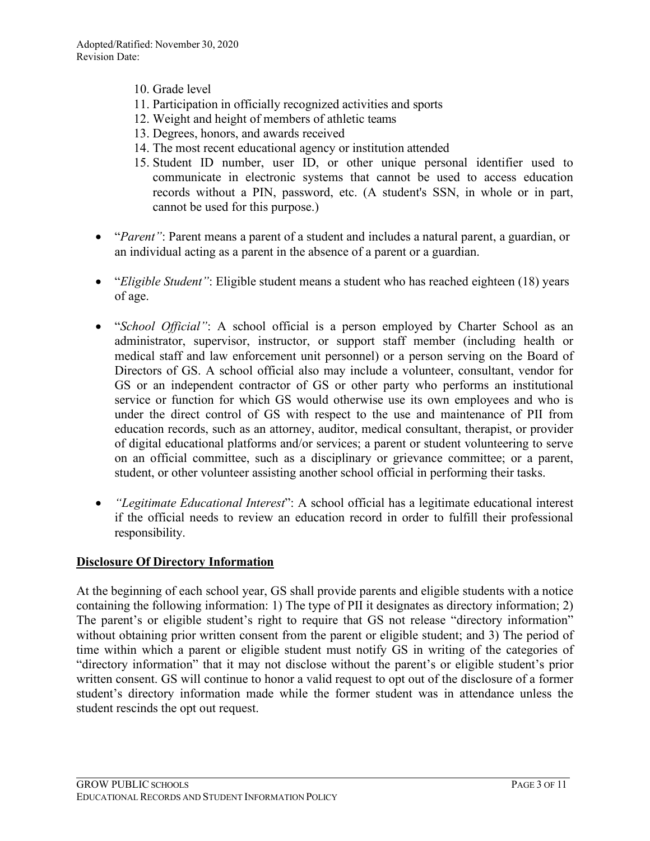- 10. Grade level
- 11. Participation in officially recognized activities and sports
- 12. Weight and height of members of athletic teams
- 13. Degrees, honors, and awards received
- 14. The most recent educational agency or institution attended
- 15. Student ID number, user ID, or other unique personal identifier used to communicate in electronic systems that cannot be used to access education records without a PIN, password, etc. (A student's SSN, in whole or in part, cannot be used for this purpose.)
- *"Parent"*: Parent means a parent of a student and includes a natural parent, a guardian, or an individual acting as a parent in the absence of a parent or a guardian.
- *"Eligible Student"*: Eligible student means a student who has reached eighteen (18) years of age.
- "*School Official"*: A school official is a person employed by Charter School as an administrator, supervisor, instructor, or support staff member (including health or medical staff and law enforcement unit personnel) or a person serving on the Board of Directors of GS. A school official also may include a volunteer, consultant, vendor for GS or an independent contractor of GS or other party who performs an institutional service or function for which GS would otherwise use its own employees and who is under the direct control of GS with respect to the use and maintenance of PII from education records, such as an attorney, auditor, medical consultant, therapist, or provider of digital educational platforms and/or services; a parent or student volunteering to serve on an official committee, such as a disciplinary or grievance committee; or a parent, student, or other volunteer assisting another school official in performing their tasks.
- *"Legitimate Educational Interest*": A school official has a legitimate educational interest if the official needs to review an education record in order to fulfill their professional responsibility.

## **Disclosure Of Directory Information**

At the beginning of each school year, GS shall provide parents and eligible students with a notice containing the following information: 1) The type of PII it designates as directory information; 2) The parent's or eligible student's right to require that GS not release "directory information" without obtaining prior written consent from the parent or eligible student; and 3) The period of time within which a parent or eligible student must notify GS in writing of the categories of "directory information" that it may not disclose without the parent's or eligible student's prior written consent. GS will continue to honor a valid request to opt out of the disclosure of a former student's directory information made while the former student was in attendance unless the student rescinds the opt out request.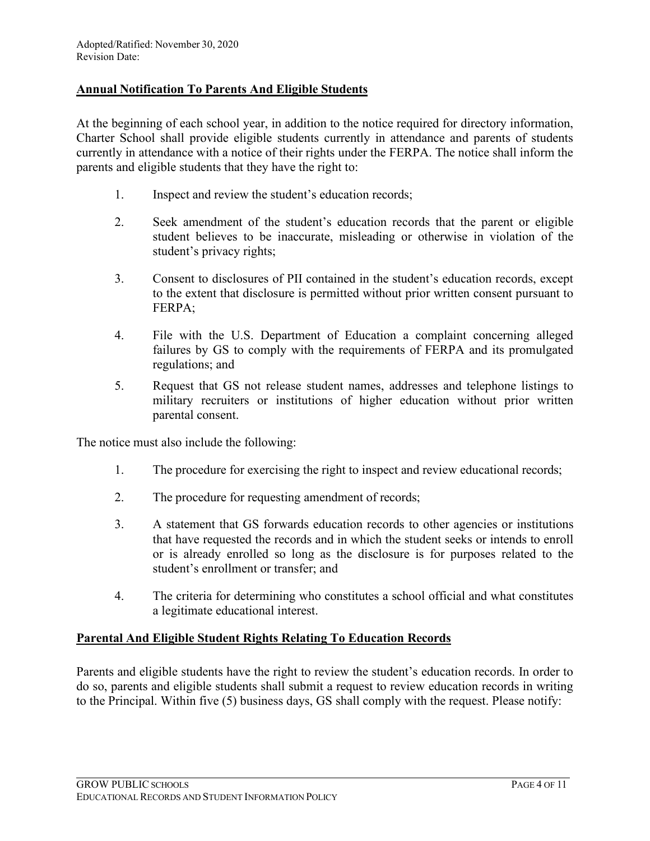### **Annual Notification To Parents And Eligible Students**

At the beginning of each school year, in addition to the notice required for directory information, Charter School shall provide eligible students currently in attendance and parents of students currently in attendance with a notice of their rights under the FERPA. The notice shall inform the parents and eligible students that they have the right to:

- 1. Inspect and review the student's education records;
- 2. Seek amendment of the student's education records that the parent or eligible student believes to be inaccurate, misleading or otherwise in violation of the student's privacy rights;
- 3. Consent to disclosures of PII contained in the student's education records, except to the extent that disclosure is permitted without prior written consent pursuant to FERPA;
- 4. File with the U.S. Department of Education a complaint concerning alleged failures by GS to comply with the requirements of FERPA and its promulgated regulations; and
- 5. Request that GS not release student names, addresses and telephone listings to military recruiters or institutions of higher education without prior written parental consent.

The notice must also include the following:

- 1. The procedure for exercising the right to inspect and review educational records;
- 2. The procedure for requesting amendment of records;
- 3. A statement that GS forwards education records to other agencies or institutions that have requested the records and in which the student seeks or intends to enroll or is already enrolled so long as the disclosure is for purposes related to the student's enrollment or transfer; and
- 4. The criteria for determining who constitutes a school official and what constitutes a legitimate educational interest.

## **Parental And Eligible Student Rights Relating To Education Records**

Parents and eligible students have the right to review the student's education records. In order to do so, parents and eligible students shall submit a request to review education records in writing to the Principal. Within five (5) business days, GS shall comply with the request. Please notify: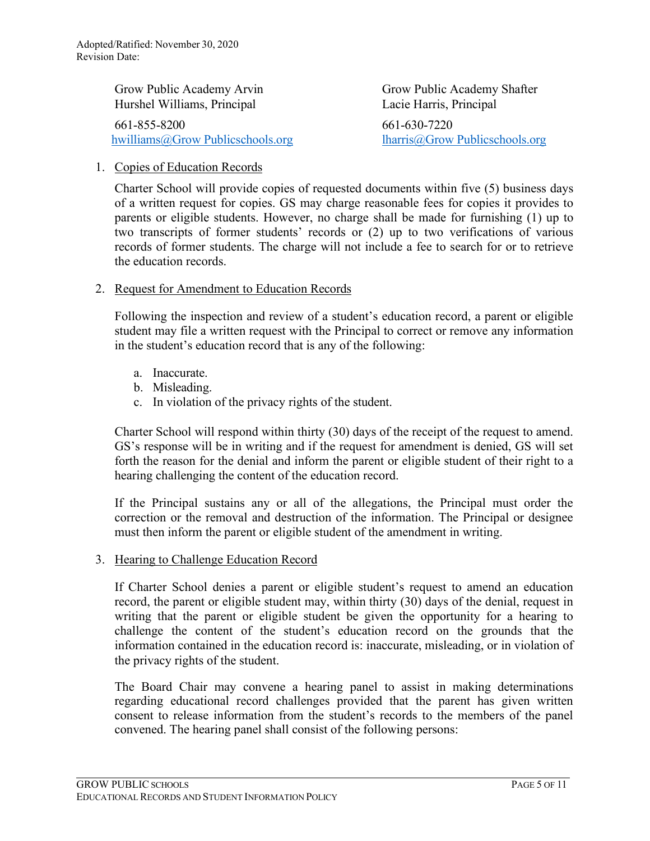Grow Public Academy Arvin Grow Public Academy Shafter Hurshel Williams, Principal Lacie Harris, Principal 661-855-8200 661-630-7220 [hwilliams@Grow Publicschools.org](mailto:hwilliams@grimmwayschools.org) [lharris@Grow Publicschools.org](mailto:bwebb@grimmwayschools.org)

#### 1. Copies of Education Records

Charter School will provide copies of requested documents within five (5) business days of a written request for copies. GS may charge reasonable fees for copies it provides to parents or eligible students. However, no charge shall be made for furnishing (1) up to two transcripts of former students' records or (2) up to two verifications of various records of former students. The charge will not include a fee to search for or to retrieve the education records.

#### 2. Request for Amendment to Education Records

Following the inspection and review of a student's education record, a parent or eligible student may file a written request with the Principal to correct or remove any information in the student's education record that is any of the following:

- a. Inaccurate.
- b. Misleading.
- c. In violation of the privacy rights of the student.

Charter School will respond within thirty (30) days of the receipt of the request to amend. GS's response will be in writing and if the request for amendment is denied, GS will set forth the reason for the denial and inform the parent or eligible student of their right to a hearing challenging the content of the education record.

If the Principal sustains any or all of the allegations, the Principal must order the correction or the removal and destruction of the information. The Principal or designee must then inform the parent or eligible student of the amendment in writing.

#### 3. Hearing to Challenge Education Record

If Charter School denies a parent or eligible student's request to amend an education record, the parent or eligible student may, within thirty (30) days of the denial, request in writing that the parent or eligible student be given the opportunity for a hearing to challenge the content of the student's education record on the grounds that the information contained in the education record is: inaccurate, misleading, or in violation of the privacy rights of the student.

The Board Chair may convene a hearing panel to assist in making determinations regarding educational record challenges provided that the parent has given written consent to release information from the student's records to the members of the panel convened. The hearing panel shall consist of the following persons: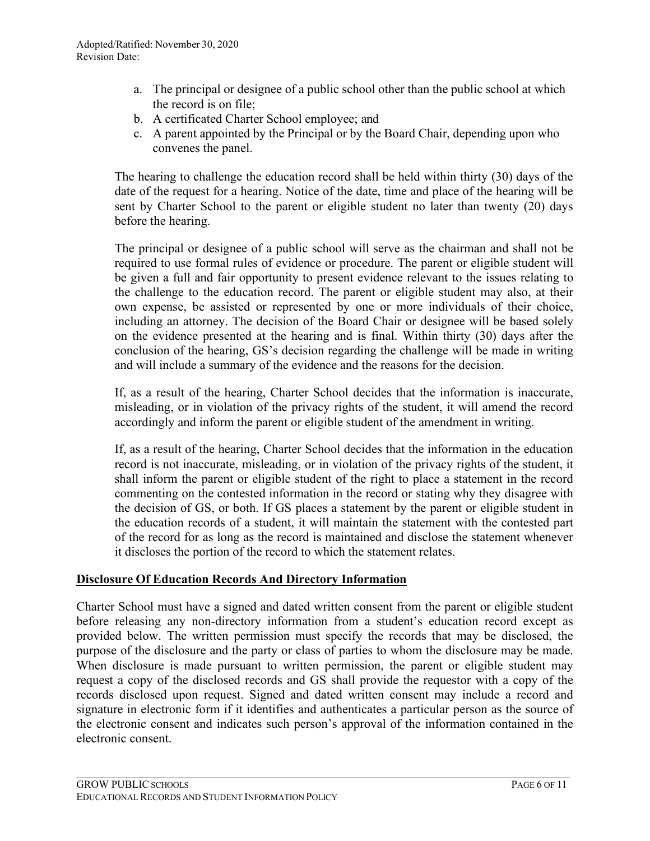- a. The principal or designee of a public school other than the public school at which the record is on file;
- b. A certificated Charter School employee; and
- c. A parent appointed by the Principal or by the Board Chair, depending upon who convenes the panel.

The hearing to challenge the education record shall be held within thirty (30) days of the date of the request for a hearing. Notice of the date, time and place of the hearing will be sent by Charter School to the parent or eligible student no later than twenty (20) days before the hearing.

The principal or designee of a public school will serve as the chairman and shall not be required to use formal rules of evidence or procedure. The parent or eligible student will be given a full and fair opportunity to present evidence relevant to the issues relating to the challenge to the education record. The parent or eligible student may also, at their own expense, be assisted or represented by one or more individuals of their choice, including an attorney. The decision of the Board Chair or designee will be based solely on the evidence presented at the hearing and is final. Within thirty (30) days after the conclusion of the hearing, GS's decision regarding the challenge will be made in writing and will include a summary of the evidence and the reasons for the decision.

If, as a result of the hearing, Charter School decides that the information is inaccurate, misleading, or in violation of the privacy rights of the student, it will amend the record accordingly and inform the parent or eligible student of the amendment in writing.

If, as a result of the hearing, Charter School decides that the information in the education record is not inaccurate, misleading, or in violation of the privacy rights of the student, it shall inform the parent or eligible student of the right to place a statement in the record commenting on the contested information in the record or stating why they disagree with the decision of GS, or both. If GS places a statement by the parent or eligible student in the education records of a student, it will maintain the statement with the contested part of the record for as long as the record is maintained and disclose the statement whenever it discloses the portion of the record to which the statement relates.

## **Disclosure Of Education Records And Directory Information**

Charter School must have a signed and dated written consent from the parent or eligible student before releasing any non-directory information from a student's education record except as provided below. The written permission must specify the records that may be disclosed, the purpose of the disclosure and the party or class of parties to whom the disclosure may be made. When disclosure is made pursuant to written permission, the parent or eligible student may request a copy of the disclosed records and GS shall provide the requestor with a copy of the records disclosed upon request. Signed and dated written consent may include a record and signature in electronic form if it identifies and authenticates a particular person as the source of the electronic consent and indicates such person's approval of the information contained in the electronic consent.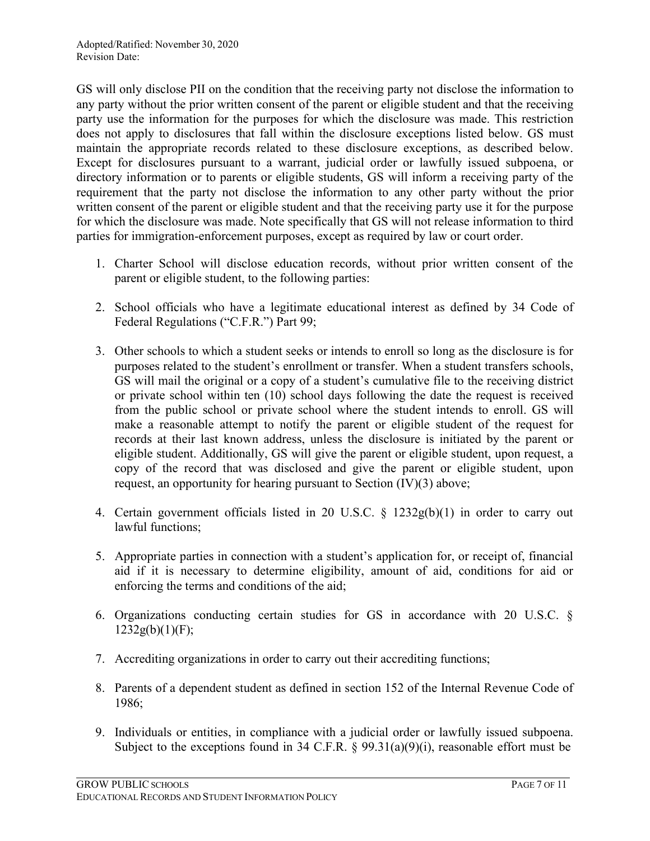GS will only disclose PII on the condition that the receiving party not disclose the information to any party without the prior written consent of the parent or eligible student and that the receiving party use the information for the purposes for which the disclosure was made. This restriction does not apply to disclosures that fall within the disclosure exceptions listed below. GS must maintain the appropriate records related to these disclosure exceptions, as described below. Except for disclosures pursuant to a warrant, judicial order or lawfully issued subpoena, or directory information or to parents or eligible students, GS will inform a receiving party of the requirement that the party not disclose the information to any other party without the prior written consent of the parent or eligible student and that the receiving party use it for the purpose for which the disclosure was made. Note specifically that GS will not release information to third parties for immigration-enforcement purposes, except as required by law or court order.

- 1. Charter School will disclose education records, without prior written consent of the parent or eligible student, to the following parties:
- 2. School officials who have a legitimate educational interest as defined by 34 Code of Federal Regulations ("C.F.R.") Part 99;
- 3. Other schools to which a student seeks or intends to enroll so long as the disclosure is for purposes related to the student's enrollment or transfer. When a student transfers schools, GS will mail the original or a copy of a student's cumulative file to the receiving district or private school within ten (10) school days following the date the request is received from the public school or private school where the student intends to enroll. GS will make a reasonable attempt to notify the parent or eligible student of the request for records at their last known address, unless the disclosure is initiated by the parent or eligible student. Additionally, GS will give the parent or eligible student, upon request, a copy of the record that was disclosed and give the parent or eligible student, upon request, an opportunity for hearing pursuant to Section (IV)(3) above;
- 4. Certain government officials listed in 20 U.S.C. § 1232g(b)(1) in order to carry out lawful functions;
- 5. Appropriate parties in connection with a student's application for, or receipt of, financial aid if it is necessary to determine eligibility, amount of aid, conditions for aid or enforcing the terms and conditions of the aid;
- 6. Organizations conducting certain studies for GS in accordance with 20 U.S.C. §  $1232g(b)(1)(F);$
- 7. Accrediting organizations in order to carry out their accrediting functions;
- 8. Parents of a dependent student as defined in section [152 of the Internal Revenue Code o](http://www.lexis.com/research/buttonTFLink?_m=6abc13686deebc8da5c10abc89f02b9d&_xfercite=%3ccite%20cc%3d%22USA%22%3e%3c%21%5bCDATA%5b34%20CFR%2099.31%5d%5d%3e%3c%2fcite%3e&_butType=4&_butStat=0&_butNum=3&_butInline=1&_butinfo=26%20USC%20152&_fmtstr=FULL&docnum=1&_startdoc=1&wchp=dGLbVlb-zSkAl&_md5=e6f62af1ce041b02d5bf8cf8786c505b)f 1986;
- 9. Individuals or entities, in compliance with a judicial order or lawfully issued subpoena. Subject to the exceptions found in 34 C.F.R. § 99.31(a)(9)(i), reasonable effort must be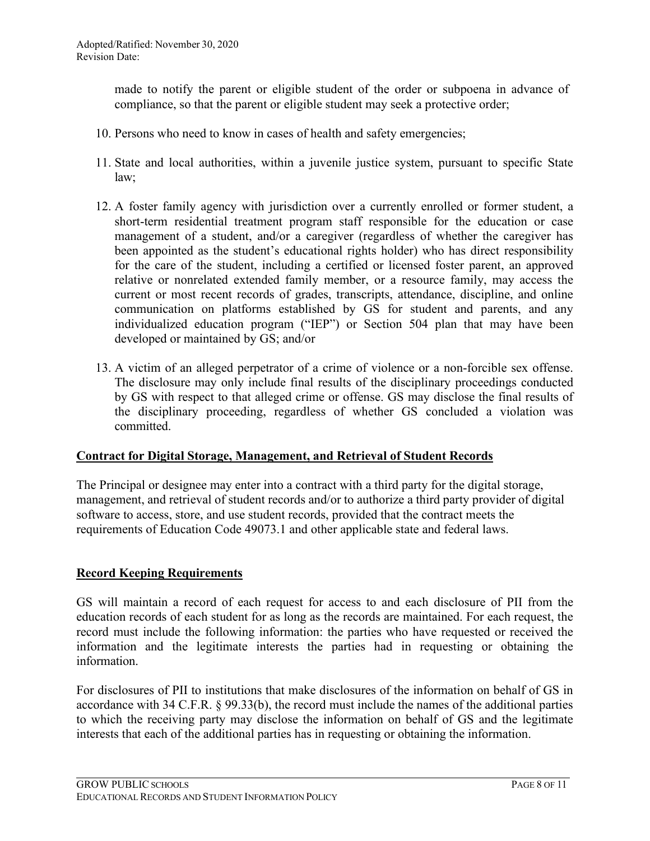made to notify the parent or eligible student of the order or subpoena in advance of compliance, so that the parent or eligible student may seek a protective order;

- 10. Persons who need to know in cases of health and safety emergencies;
- 11. State and local authorities, within a juvenile justice system, pursuant to specific State law;
- 12. A foster family agency with jurisdiction over a currently enrolled or former student, a short-term residential treatment program staff responsible for the education or case management of a student, and/or a caregiver (regardless of whether the caregiver has been appointed as the student's educational rights holder) who has direct responsibility for the care of the student, including a certified or licensed foster parent, an approved relative or nonrelated extended family member, or a resource family, may access the current or most recent records of grades, transcripts, attendance, discipline, and online communication on platforms established by GS for student and parents, and any individualized education program ("IEP") or Section 504 plan that may have been developed or maintained by GS; and/or
- 13. A victim of an alleged perpetrator of a crime of violence or a non-forcible sex offense. The disclosure may only include final results of the disciplinary proceedings conducted by GS with respect to that alleged crime or offense. GS may disclose the final results of the disciplinary proceeding, regardless of whether GS concluded a violation was committed.

### **Contract for Digital Storage, Management, and Retrieval of Student Records**

The Principal or designee may enter into a contract with a third party for the digital storage, management, and retrieval of student records and/or to authorize a third party provider of digital software to access, store, and use student records, provided that the contract meets the requirements of Education Code 49073.1 and other applicable state and federal laws.

### **Record Keeping Requirements**

GS will maintain a record of each request for access to and each disclosure of PII from the education records of each student for as long as the records are maintained. For each request, the record must include the following information: the parties who have requested or received the information and the legitimate interests the parties had in requesting or obtaining the information.

For disclosures of PII to institutions that make disclosures of the information on behalf of GS in accordance with 34 C.F.R. § 99.33(b), the record must include the names of the additional parties to which the receiving party may disclose the information on behalf of GS and the legitimate interests that each of the additional parties has in requesting or obtaining the information.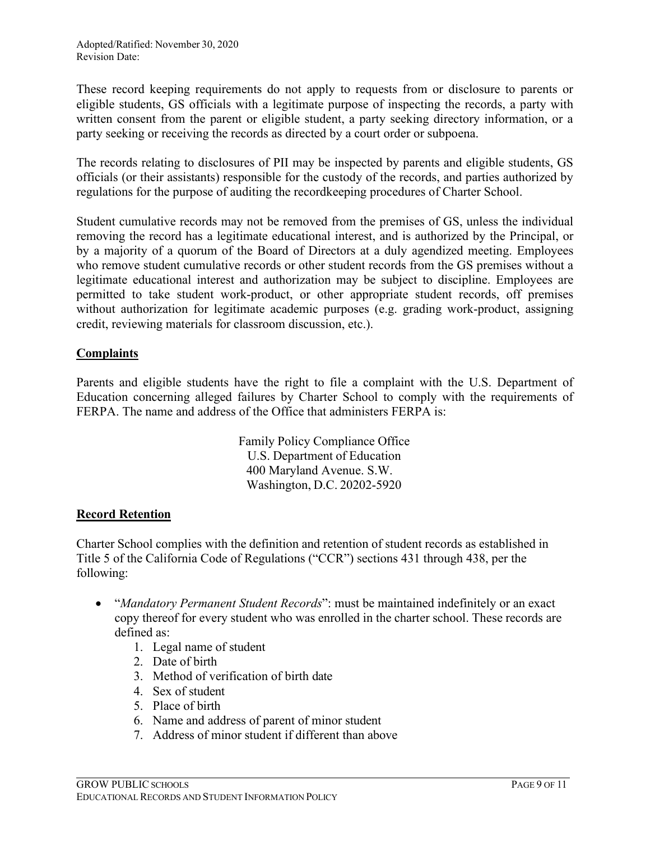These record keeping requirements do not apply to requests from or disclosure to parents or eligible students, GS officials with a legitimate purpose of inspecting the records, a party with written consent from the parent or eligible student, a party seeking directory information, or a party seeking or receiving the records as directed by a court order or subpoena.

The records relating to disclosures of PII may be inspected by parents and eligible students, GS officials (or their assistants) responsible for the custody of the records, and parties authorized by regulations for the purpose of auditing the recordkeeping procedures of Charter School.

Student cumulative records may not be removed from the premises of GS, unless the individual removing the record has a legitimate educational interest, and is authorized by the Principal, or by a majority of a quorum of the Board of Directors at a duly agendized meeting. Employees who remove student cumulative records or other student records from the GS premises without a legitimate educational interest and authorization may be subject to discipline. Employees are permitted to take student work-product, or other appropriate student records, off premises without authorization for legitimate academic purposes (e.g. grading work-product, assigning credit, reviewing materials for classroom discussion, etc.).

# **Complaints**

Parents and eligible students have the right to file a complaint with the U.S. Department of Education concerning alleged failures by Charter School to comply with the requirements of FERPA. The name and address of the Office that administers FERPA is:

> Family Policy Compliance Office U.S. Department of Education 400 Maryland Avenue. S.W. Washington, D.C. 20202-5920

## **Record Retention**

Charter School complies with the definition and retention of student records as established in Title 5 of the California Code of Regulations ("CCR") sections 431 through 438, per the following:

- "*Mandatory Permanent Student Records*": must be maintained indefinitely or an exact copy thereof for every student who was enrolled in the charter school. These records are defined as:
	- 1. Legal name of student
	- 2. Date of birth
	- 3. Method of verification of birth date
	- 4. Sex of student
	- 5. Place of birth
	- 6. Name and address of parent of minor student
	- 7. Address of minor student if different than above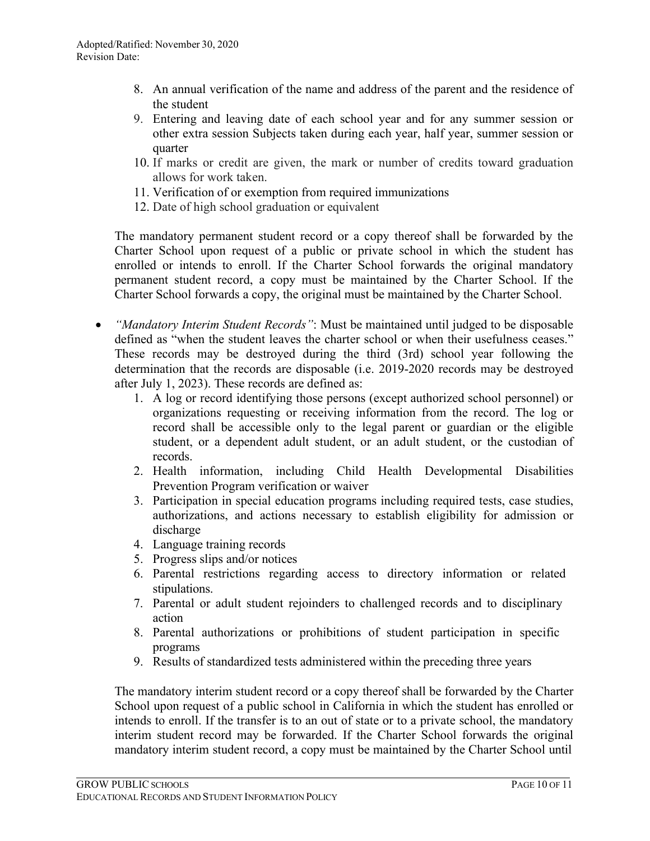- 8. An annual verification of the name and address of the parent and the residence of the student
- 9. Entering and leaving date of each school year and for any summer session or other extra session Subjects taken during each year, half year, summer session or quarter
- 10. If marks or credit are given, the mark or number of credits toward graduation allows for work taken.
- 11. Verification of or exemption from required immunizations
- 12. Date of high school graduation or equivalent

The mandatory permanent student record or a copy thereof shall be forwarded by the Charter School upon request of a public or private school in which the student has enrolled or intends to enroll. If the Charter School forwards the original mandatory permanent student record, a copy must be maintained by the Charter School. If the Charter School forwards a copy, the original must be maintained by the Charter School.

- *"Mandatory Interim Student Records"*: Must be maintained until judged to be disposable defined as "when the student leaves the charter school or when their usefulness ceases." These records may be destroyed during the third (3rd) school year following the determination that the records are disposable (i.e. 2019-2020 records may be destroyed after July 1, 2023). These records are defined as:
	- 1. A log or record identifying those persons (except authorized school personnel) or organizations requesting or receiving information from the record. The log or record shall be accessible only to the legal parent or guardian or the eligible student, or a dependent adult student, or an adult student, or the custodian of records.
	- 2. Health information, including Child Health Developmental Disabilities Prevention Program verification or waiver
	- 3. Participation in special education programs including required tests, case studies, authorizations, and actions necessary to establish eligibility for admission or discharge
	- 4. Language training records
	- 5. Progress slips and/or notices
	- 6. Parental restrictions regarding access to directory information or related stipulations.
	- 7. Parental or adult student rejoinders to challenged records and to disciplinary action
	- 8. Parental authorizations or prohibitions of student participation in specific programs
	- 9. Results of standardized tests administered within the preceding three years

The mandatory interim student record or a copy thereof shall be forwarded by the Charter School upon request of a public school in California in which the student has enrolled or intends to enroll. If the transfer is to an out of state or to a private school, the mandatory interim student record may be forwarded. If the Charter School forwards the original mandatory interim student record, a copy must be maintained by the Charter School until